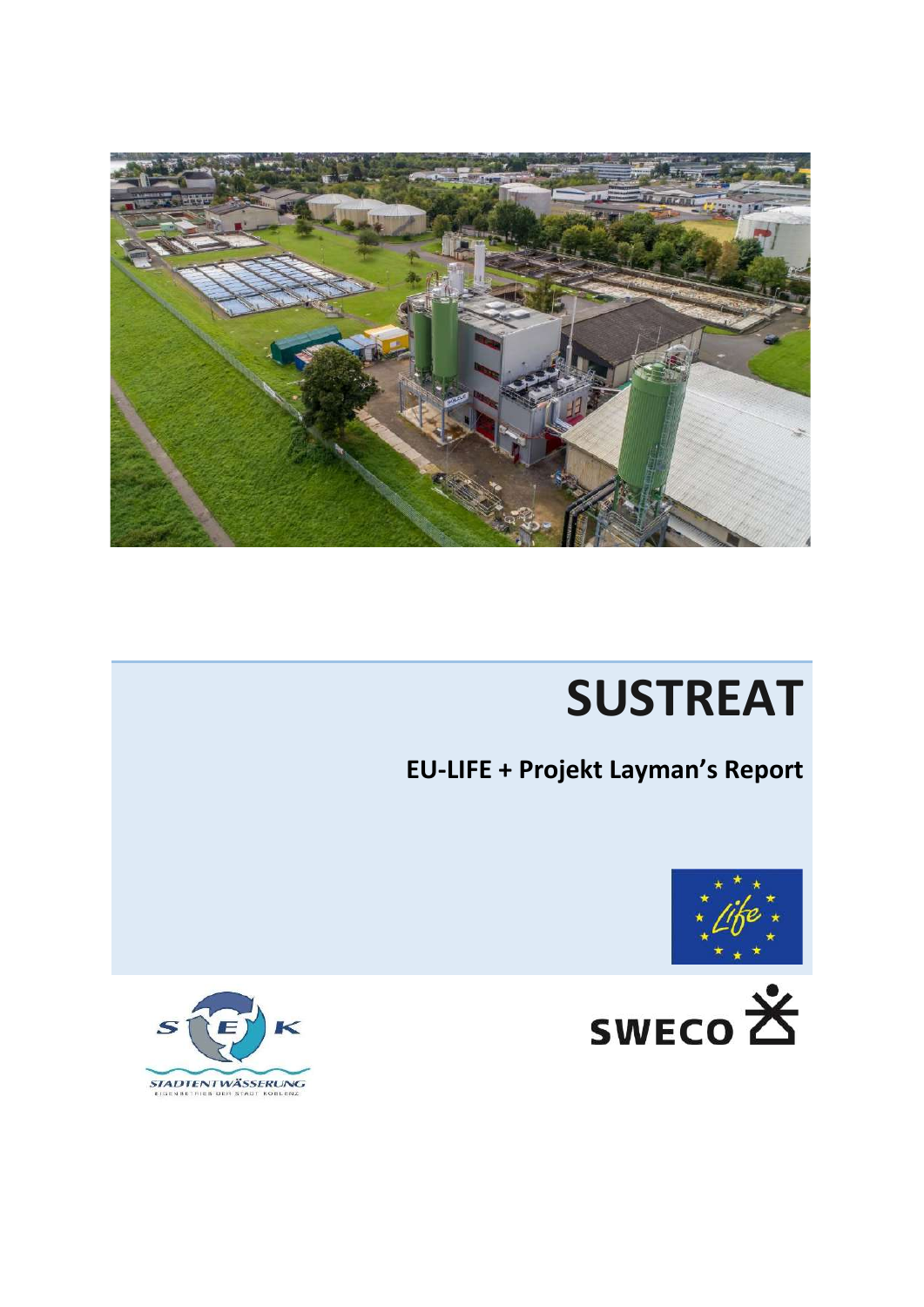

# **SUSTREAT**

## **EU-LIFE + Projekt Layman's Report**





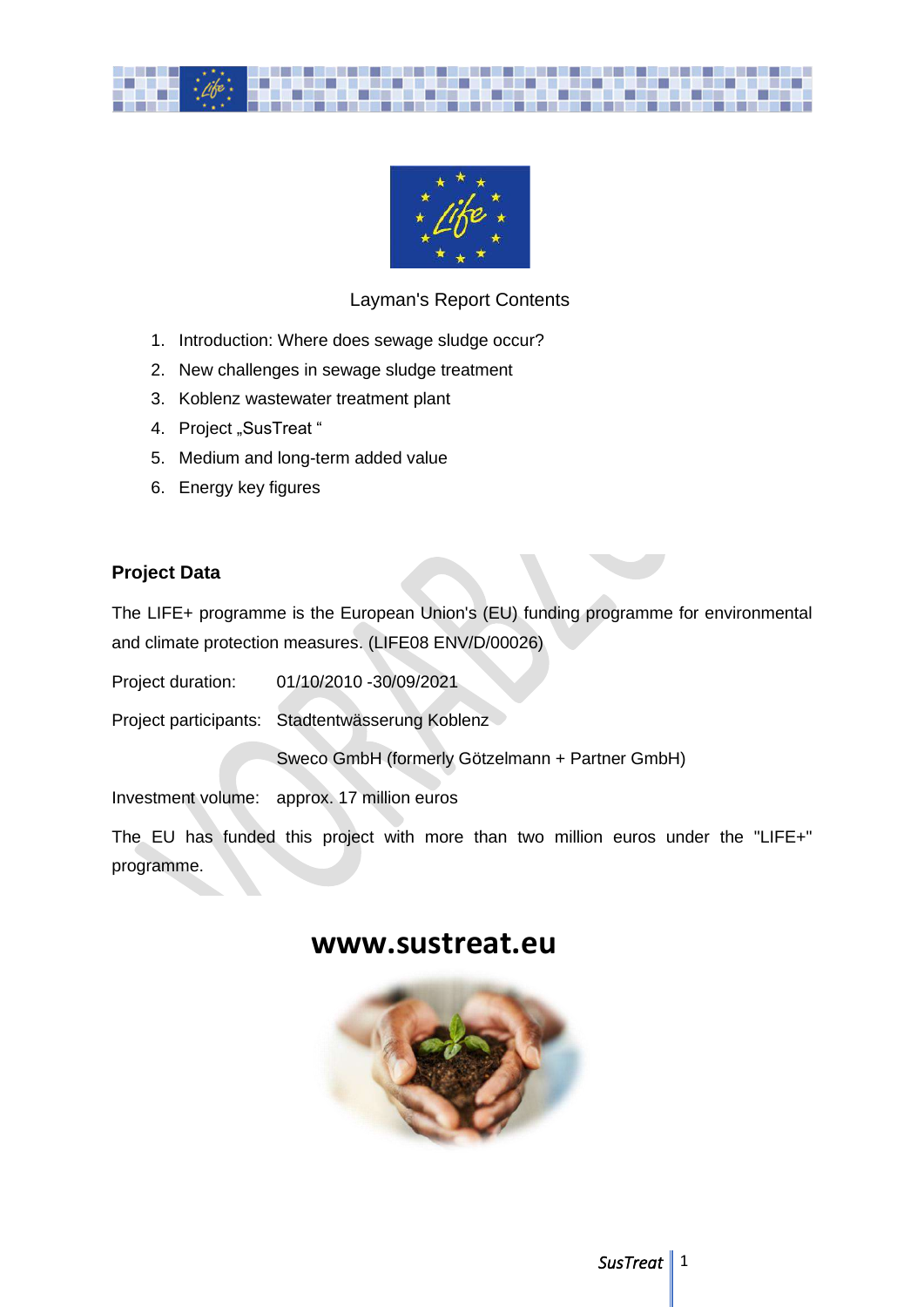



## Layman's Report Contents

- 1. Introduction: Where does sewage sludge occur?
- 2. New challenges in sewage sludge treatment
- 3. Koblenz wastewater treatment plant
- 4. Project "SusTreat"
- 5. Medium and long-term added value
- 6. Energy key figures

## **Project Data**

The LIFE+ programme is the European Union's (EU) funding programme for environmental and climate protection measures. (LIFE08 ENV/D/00026)

Project duration: 01/10/2010 -30/09/2021

Project participants: Stadtentwässerung Koblenz

Sweco GmbH (formerly Götzelmann + Partner GmbH)

Investment volume: approx. 17 million euros

The EU has funded this project with more than two million euros under the "LIFE+" programme.

## **www.sustreat.eu**

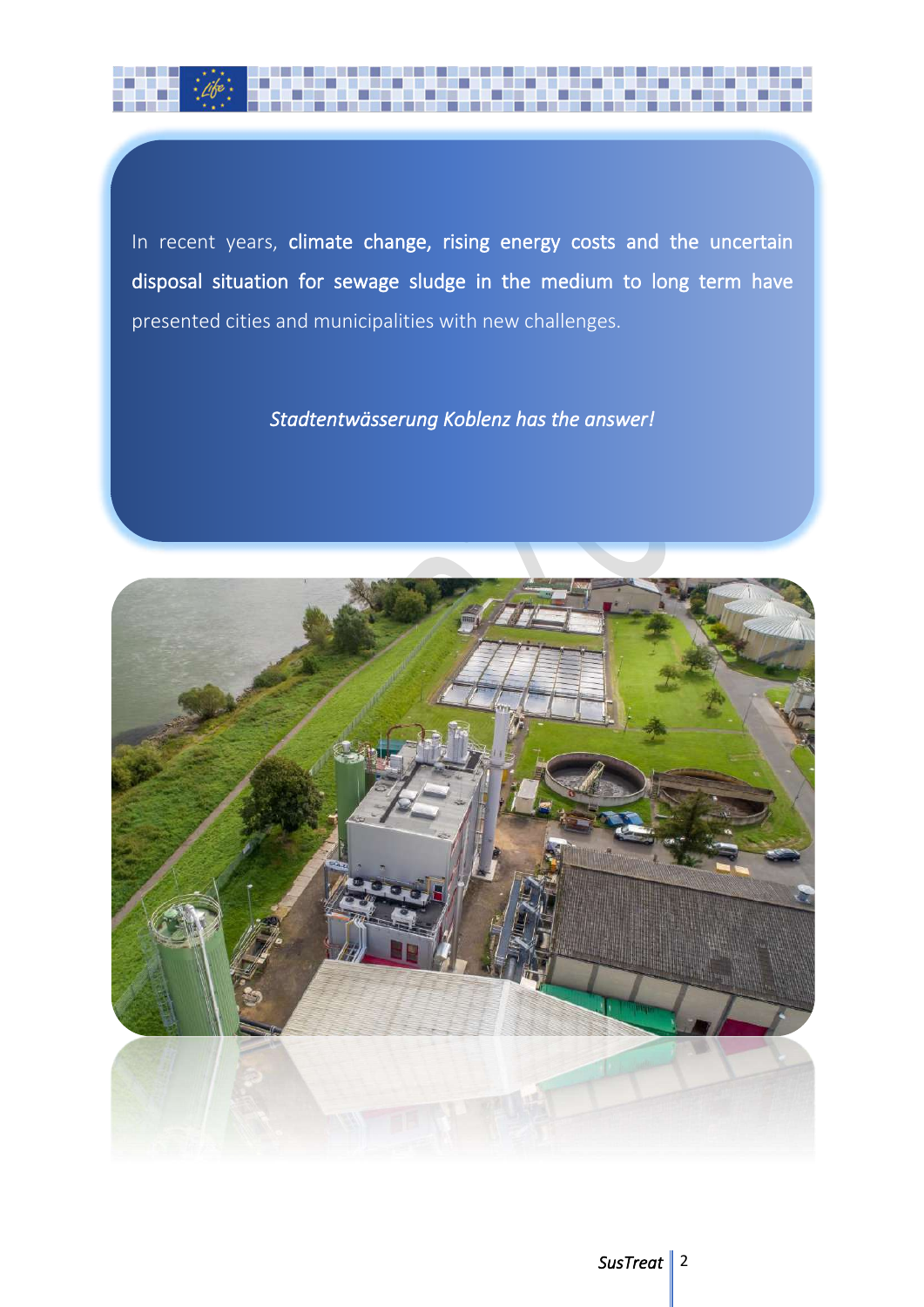

In recent years, climate change, rising energy costs and the uncertain disposal situation for sewage sludge in the medium to long term have presented cities and municipalities with new challenges.

## *Stadtentwässerung Koblenz has the answer!*

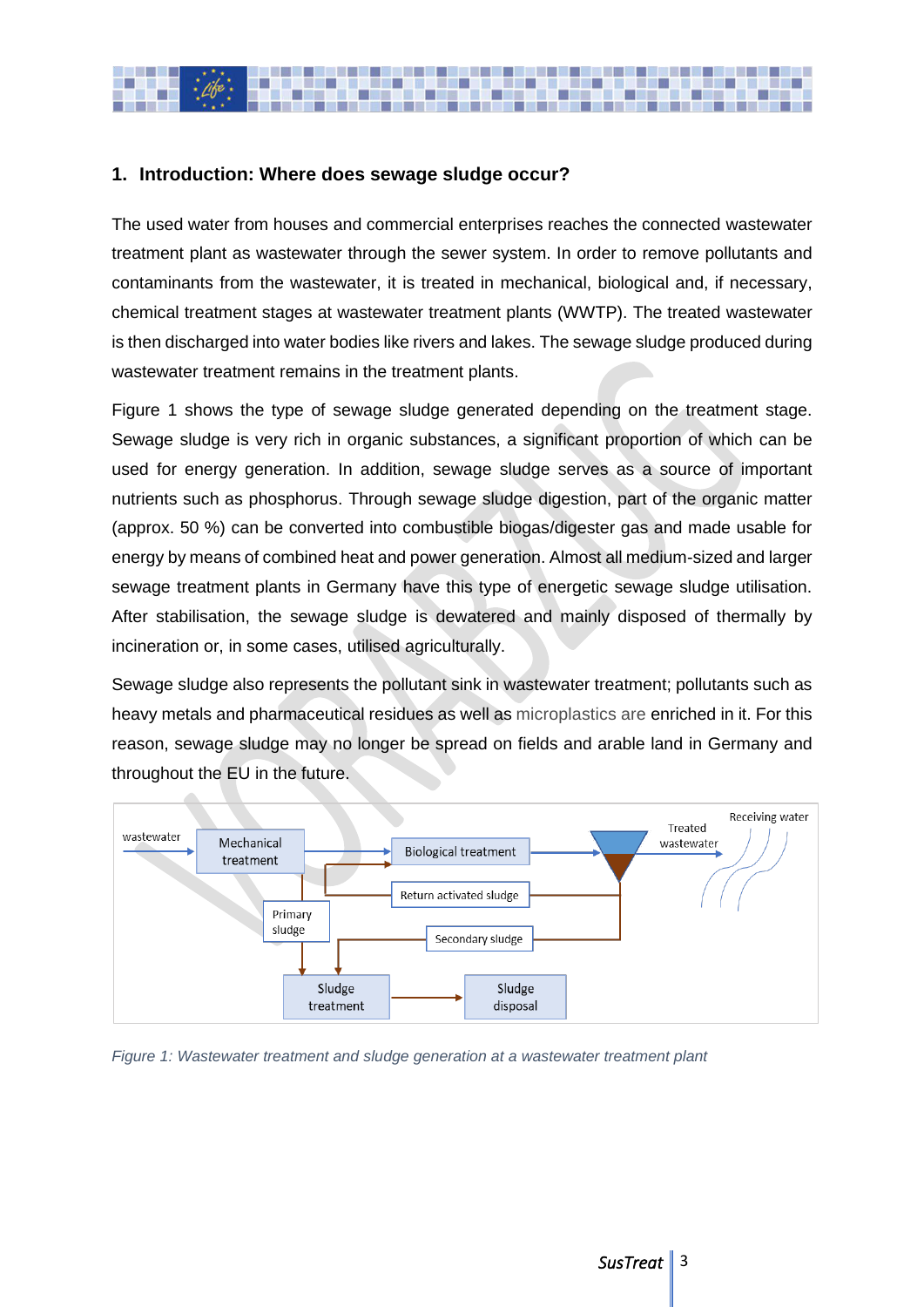

## **1. Introduction: Where does sewage sludge occur?**

The used water from houses and commercial enterprises reaches the connected wastewater treatment plant as wastewater through the sewer system. In order to remove pollutants and contaminants from the wastewater, it is treated in mechanical, biological and, if necessary, chemical treatment stages at wastewater treatment plants (WWTP). The treated wastewater is then discharged into water bodies like rivers and lakes. The sewage sludge produced during wastewater treatment remains in the treatment plants.

Figure 1 shows the type of sewage sludge generated depending on the treatment stage. Sewage sludge is very rich in organic substances, a significant proportion of which can be used for energy generation. In addition, sewage sludge serves as a source of important nutrients such as phosphorus. Through sewage sludge digestion, part of the organic matter (approx. 50 %) can be converted into combustible biogas/digester gas and made usable for energy by means of combined heat and power generation. Almost all medium-sized and larger sewage treatment plants in Germany have this type of energetic sewage sludge utilisation. After stabilisation, the sewage sludge is dewatered and mainly disposed of thermally by incineration or, in some cases, utilised agriculturally.

Sewage sludge also represents the pollutant sink in wastewater treatment; pollutants such as heavy metals and pharmaceutical residues as well as microplastics are enriched in it. For this reason, sewage sludge may no longer be spread on fields and arable land in Germany and throughout the EU in the future.



*Figure 1: Wastewater treatment and sludge generation at a wastewater treatment plant*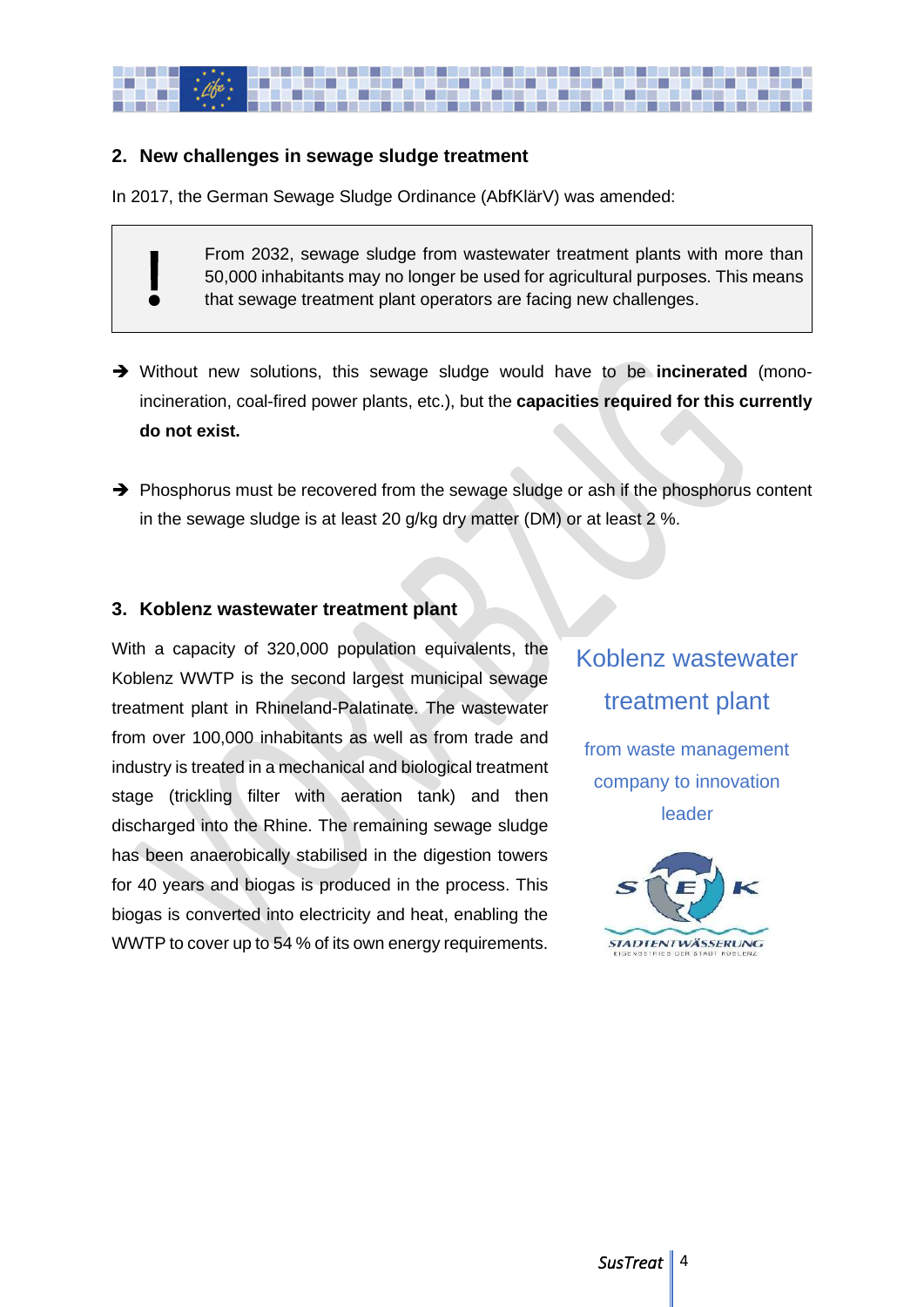

## **2. New challenges in sewage sludge treatment**

In 2017, the German Sewage Sludge Ordinance (AbfKlärV) was amended:

From 2032, sewage sludge from wastewater treatment plants with more than 50,000 inhabitants may no longer be used for agricultural purposes. This means that sewage treatment plant operators are facing new challenges.

- ➔ Without new solutions, this sewage sludge would have to be **incinerated** (monoincineration, coal-fired power plants, etc.), but the **capacities required for this currently do not exist.**
- ➔ Phosphorus must be recovered from the sewage sludge or ash if the phosphorus content in the sewage sludge is at least 20 g/kg dry matter (DM) or at least 2 %.

#### **3. Koblenz wastewater treatment plant**

With a capacity of 320,000 population equivalents, the Koblenz WWTP is the second largest municipal sewage treatment plant in Rhineland-Palatinate. The wastewater from over 100,000 inhabitants as well as from trade and industry is treated in a mechanical and biological treatment stage (trickling filter with aeration tank) and then discharged into the Rhine. The remaining sewage sludge has been anaerobically stabilised in the digestion towers for 40 years and biogas is produced in the process. This biogas is converted into electricity and heat, enabling the WWTP to cover up to 54 % of its own energy requirements.

Koblenz wastewater treatment plant from waste management company to innovation leader

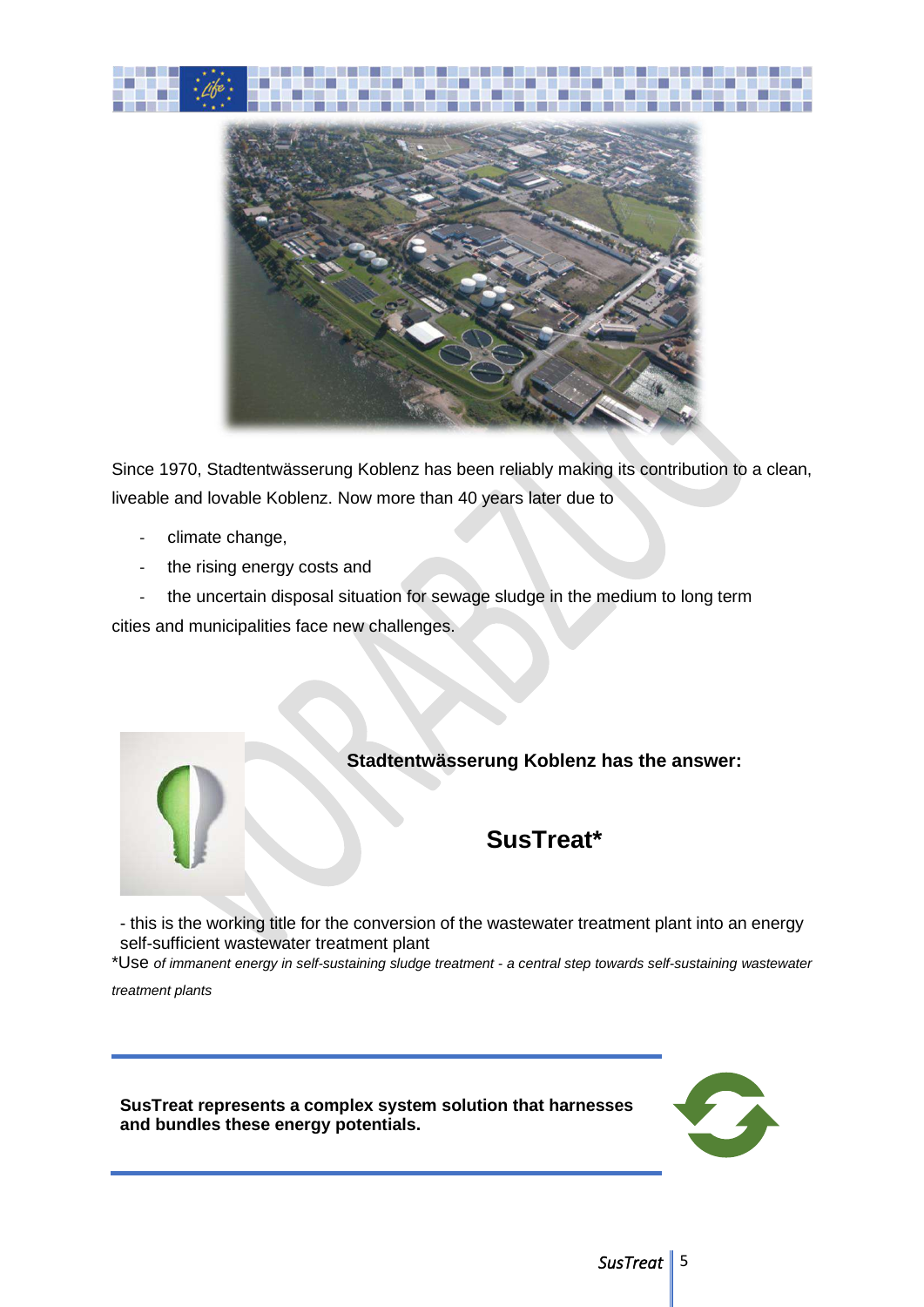



Since 1970, Stadtentwässerung Koblenz has been reliably making its contribution to a clean, liveable and lovable Koblenz. Now more than 40 years later due to

- climate change,
- the rising energy costs and

- the uncertain disposal situation for sewage sludge in the medium to long term cities and municipalities face new challenges.



- this is the working title for the conversion of the wastewater treatment plant into an energy self-sufficient wastewater treatment plant

\*Use *of immanent energy in self-sustaining sludge treatment - a central step towards self-sustaining wastewater*

*treatment plants*

**SusTreat represents a complex system solution that harnesses and bundles these energy potentials.**

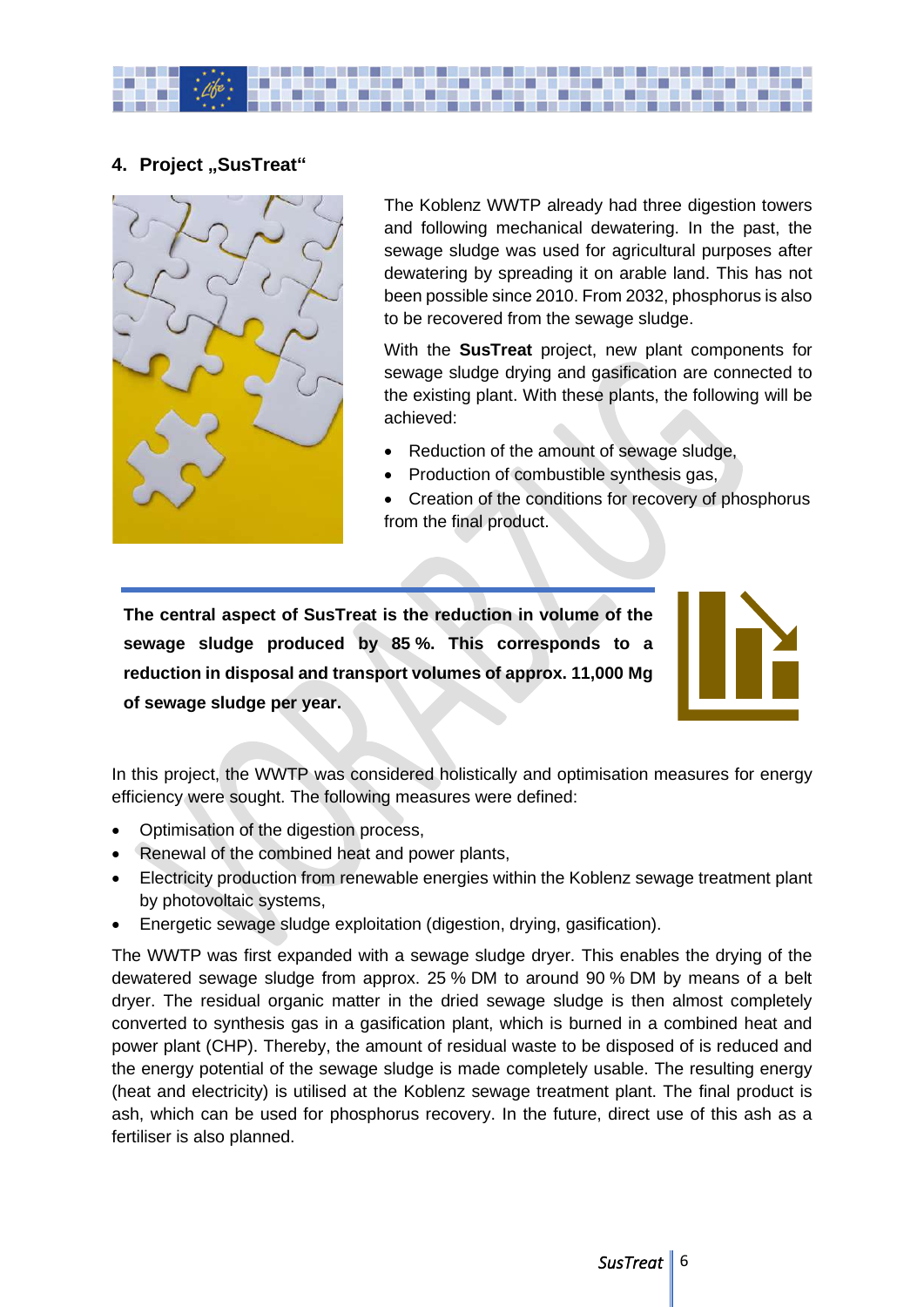

## **4. Project "SusTreat"**



The Koblenz WWTP already had three digestion towers and following mechanical dewatering. In the past, the sewage sludge was used for agricultural purposes after dewatering by spreading it on arable land. This has not been possible since 2010. From 2032, phosphorus is also to be recovered from the sewage sludge.

With the **SusTreat** project, new plant components for sewage sludge drying and gasification are connected to the existing plant. With these plants, the following will be achieved:

- Reduction of the amount of sewage sludge,
- Production of combustible synthesis gas,
- Creation of the conditions for recovery of phosphorus from the final product.

**The central aspect of SusTreat is the reduction in volume of the sewage sludge produced by 85 %. This corresponds to a reduction in disposal and transport volumes of approx. 11,000 Mg of sewage sludge per year.**

In this project, the WWTP was considered holistically and optimisation measures for energy efficiency were sought. The following measures were defined:

- Optimisation of the digestion process,
- Renewal of the combined heat and power plants,
- Electricity production from renewable energies within the Koblenz sewage treatment plant by photovoltaic systems,
- Energetic sewage sludge exploitation (digestion, drying, gasification).

The WWTP was first expanded with a sewage sludge dryer. This enables the drying of the dewatered sewage sludge from approx. 25 % DM to around 90 % DM by means of a belt dryer. The residual organic matter in the dried sewage sludge is then almost completely converted to synthesis gas in a gasification plant, which is burned in a combined heat and power plant (CHP). Thereby, the amount of residual waste to be disposed of is reduced and the energy potential of the sewage sludge is made completely usable. The resulting energy (heat and electricity) is utilised at the Koblenz sewage treatment plant. The final product is ash, which can be used for phosphorus recovery. In the future, direct use of this ash as a fertiliser is also planned.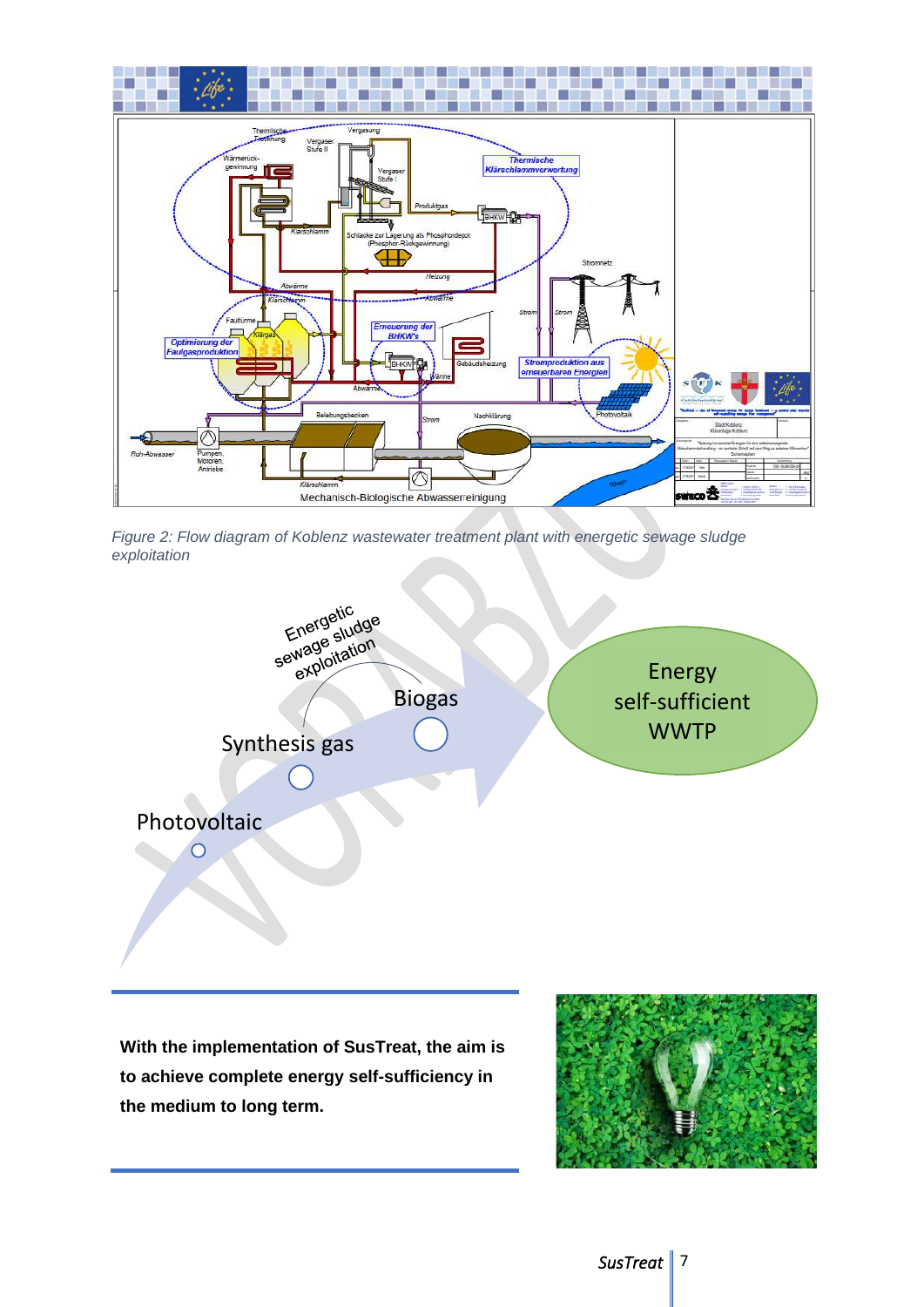

*Figure 2: Flow diagram of Koblenz wastewater treatment plant with energetic sewage sludge exploitation*



**With the implementation of SusTreat, the aim is to achieve complete energy self-sufficiency in the medium to long term.**

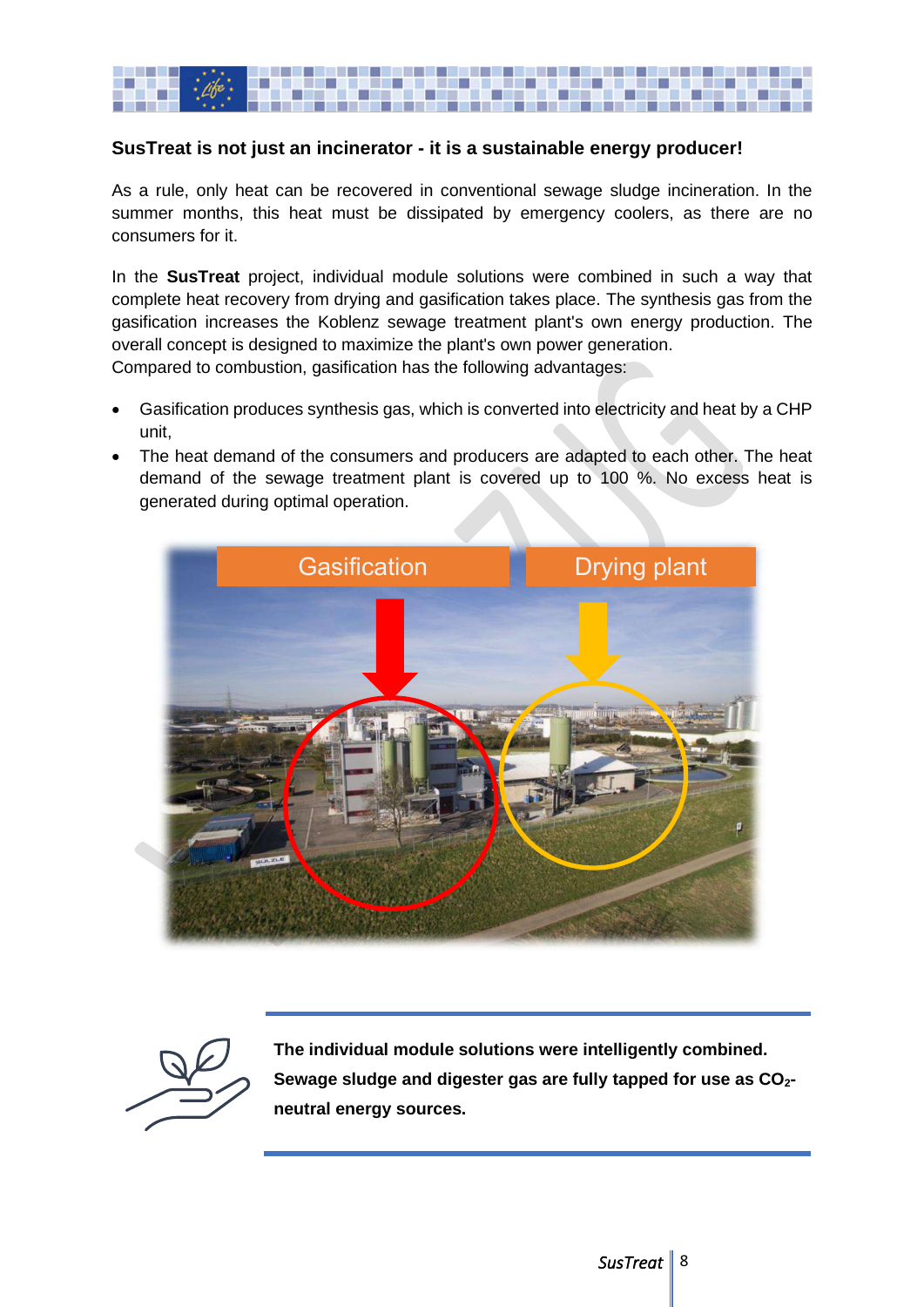

## **SusTreat is not just an incinerator - it is a sustainable energy producer!**

As a rule, only heat can be recovered in conventional sewage sludge incineration. In the summer months, this heat must be dissipated by emergency coolers, as there are no consumers for it.

In the **SusTreat** project, individual module solutions were combined in such a way that complete heat recovery from drying and gasification takes place. The synthesis gas from the gasification increases the Koblenz sewage treatment plant's own energy production. The overall concept is designed to maximize the plant's own power generation. Compared to combustion, gasification has the following advantages:

- Gasification produces synthesis gas, which is converted into electricity and heat by a CHP unit,
- The heat demand of the consumers and producers are adapted to each other. The heat demand of the sewage treatment plant is covered up to 100 %. No excess heat is generated during optimal operation.





**The individual module solutions were intelligently combined. Sewage sludge and digester gas are fully tapped for use as CO2 neutral energy sources.**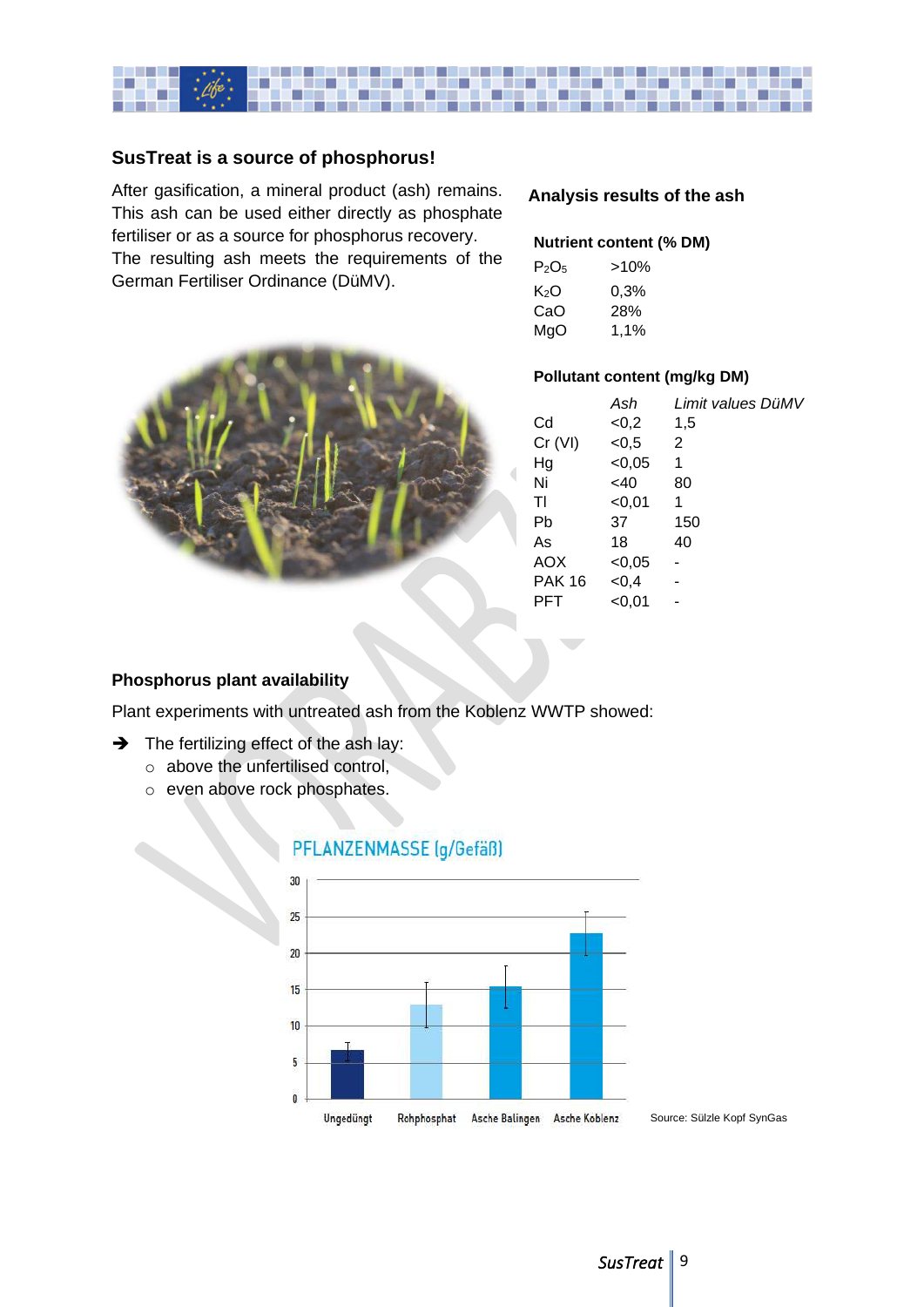

## **SusTreat is a source of phosphorus!**

After gasification, a mineral product (ash) remains. This ash can be used either directly as phosphate fertiliser or as a source for phosphorus recovery. The resulting ash meets the requirements of the German Fertiliser Ordinance (DüMV).



#### **Analysis results of the ash**

#### **Nutrient content (% DM)**

| $P_2O_5$ | >10% |
|----------|------|
| K2O      | 0.3% |
| CaO      | 28%  |
| MgO      | 1.1% |

#### **Pollutant content (mg/kg DM)**

|               | Ash      | Limit values DüMV |
|---------------|----------|-------------------|
| Cd            | <0,2     | 1,5               |
| Cr (VI)       | < 0.5    | 2                 |
| Hg            | $<$ 0,05 | 1                 |
| Ni            | $<$ 40   | 80                |
| ΤI            | $<$ 0,01 | 1                 |
| Pb            | 37       | 150               |
| As            | 18       | 40                |
| <b>AOX</b>    | < 0.05   |                   |
| <b>PAK 16</b> | ${<}0,4$ |                   |
| PFT           | <0,01    |                   |

#### **Phosphorus plant availability**

Plant experiments with untreated ash from the Koblenz WWTP showed:

- $\rightarrow$  The fertilizing effect of the ash lay:
	- o above the unfertilised control,
	- o even above rock phosphates.

## PFLANZENMASSE (g/Gefäß)



Source: Sülzle Kopf SynGas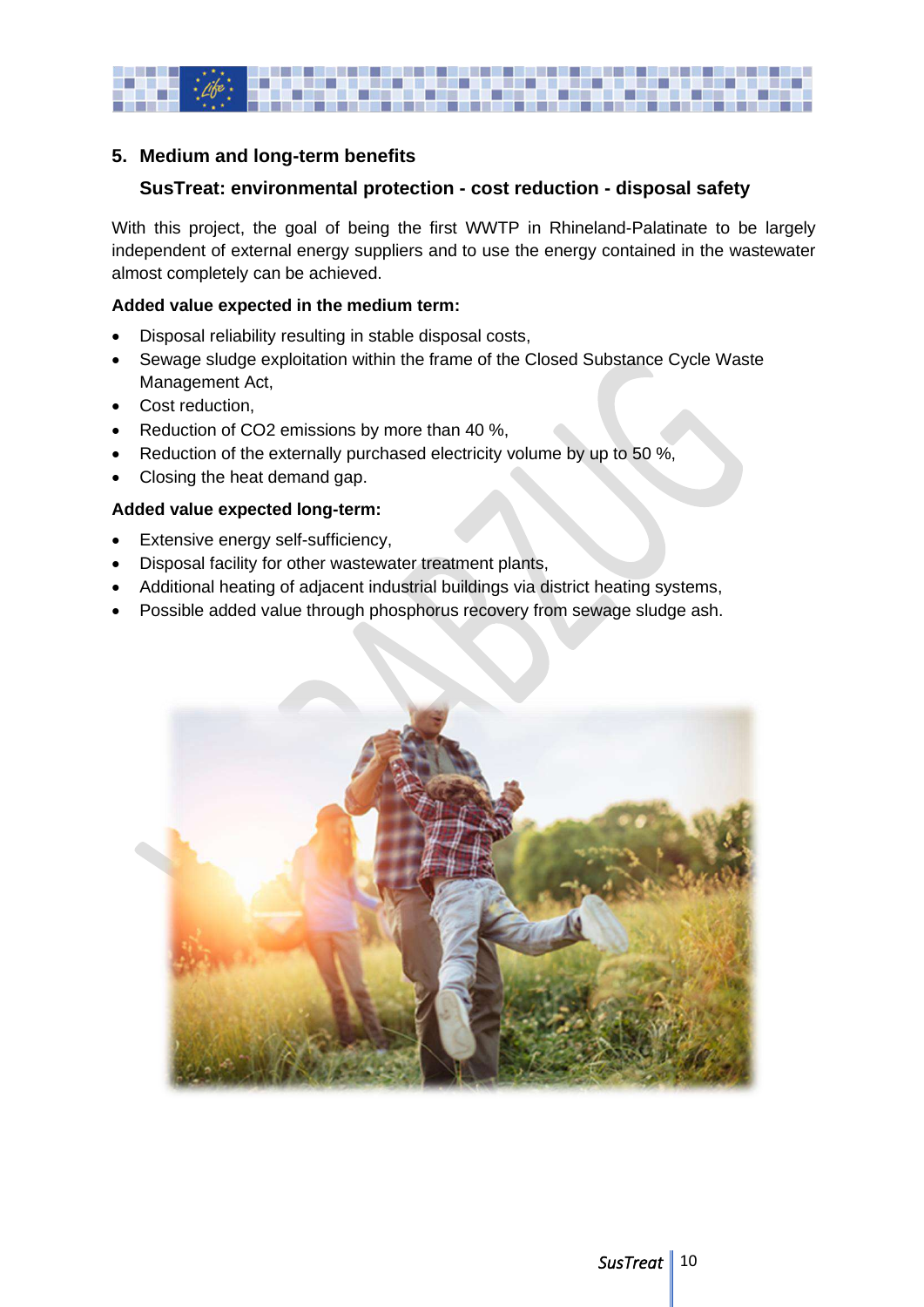

## **5. Medium and long-term benefits**

## **SusTreat: environmental protection - cost reduction - disposal safety**

With this project, the goal of being the first WWTP in Rhineland-Palatinate to be largely independent of external energy suppliers and to use the energy contained in the wastewater almost completely can be achieved.

#### **Added value expected in the medium term:**

- Disposal reliability resulting in stable disposal costs,
- Sewage sludge exploitation within the frame of the Closed Substance Cycle Waste Management Act,
- Cost reduction,
- Reduction of CO2 emissions by more than 40 %,
- Reduction of the externally purchased electricity volume by up to 50 %,
- Closing the heat demand gap.

#### **Added value expected long-term:**

- Extensive energy self-sufficiency,
- Disposal facility for other wastewater treatment plants,
- Additional heating of adjacent industrial buildings via district heating systems,
- Possible added value through phosphorus recovery from sewage sludge ash.

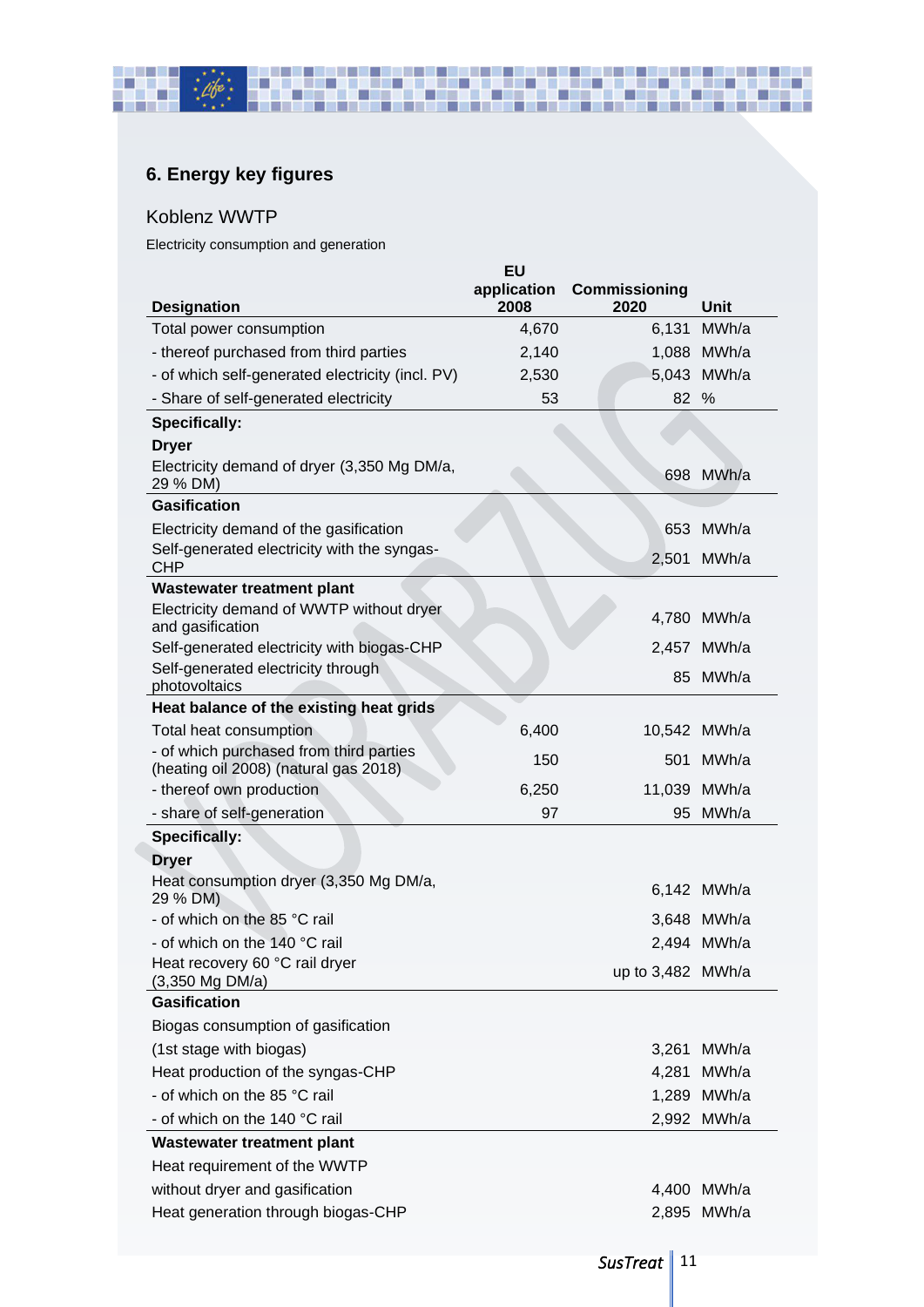## **6. Energy key figures**

#### Koblenz WWTP

**The Contract of Street** 

п

г

a de la c

Electricity consumption and generation

ш

| <b>Designation</b>                                                               | <b>EU</b><br>application<br>2008 | <b>Commissioning</b><br>2020 | <b>Unit</b>  |
|----------------------------------------------------------------------------------|----------------------------------|------------------------------|--------------|
| Total power consumption                                                          | 4,670                            | 6,131                        | MWh/a        |
| - thereof purchased from third parties                                           | 2,140                            |                              | 1,088 MWh/a  |
| - of which self-generated electricity (incl. PV)                                 | 2,530                            |                              | 5,043 MWh/a  |
| - Share of self-generated electricity                                            | 53                               | 82                           | %            |
| <b>Specifically:</b>                                                             |                                  |                              |              |
| <b>Dryer</b>                                                                     |                                  |                              |              |
| Electricity demand of dryer (3,350 Mg DM/a,<br>29 % DM)                          |                                  |                              | 698 MWh/a    |
| <b>Gasification</b>                                                              |                                  |                              |              |
| Electricity demand of the gasification                                           |                                  | 653                          | MWh/a        |
| Self-generated electricity with the syngas-<br><b>CHP</b>                        |                                  | 2,501                        | MWh/a        |
| <b>Wastewater treatment plant</b>                                                |                                  |                              |              |
| Electricity demand of WWTP without dryer<br>and gasification                     |                                  |                              | 4,780 MWh/a  |
| Self-generated electricity with biogas-CHP                                       |                                  |                              | 2,457 MWh/a  |
| Self-generated electricity through<br>photovoltaics                              |                                  |                              | 85 MWh/a     |
| Heat balance of the existing heat grids                                          |                                  |                              |              |
| Total heat consumption                                                           | 6,400                            |                              | 10,542 MWh/a |
| - of which purchased from third parties<br>(heating oil 2008) (natural gas 2018) | 150                              | 501                          | MWh/a        |
| - thereof own production                                                         | 6,250                            |                              | 11,039 MWh/a |
| - share of self-generation                                                       | 97                               | 95                           | MWh/a        |
| <b>Specifically:</b>                                                             |                                  |                              |              |
| <b>Dryer</b>                                                                     |                                  |                              |              |
| Heat consumption dryer (3,350 Mg DM/a,<br>29 % DM)                               |                                  |                              | 6,142 MWh/a  |
| - of which on the 85 °C rail                                                     |                                  |                              | 3,648 MWh/a  |
| - of which on the 140 °C rail                                                    |                                  |                              | 2,494 MWh/a  |
| Heat recovery 60 °C rail dryer<br>(3,350 Mg DM/a)                                |                                  | up to 3,482 MWh/a            |              |
| <b>Gasification</b>                                                              |                                  |                              |              |
| Biogas consumption of gasification                                               |                                  |                              |              |
| (1st stage with biogas)                                                          |                                  | 3,261                        | MWh/a        |
| Heat production of the syngas-CHP                                                |                                  | 4,281                        | MWh/a        |
| - of which on the 85 °C rail                                                     |                                  |                              | 1,289 MWh/a  |
| - of which on the 140 °C rail                                                    |                                  |                              | 2,992 MWh/a  |
| <b>Wastewater treatment plant</b>                                                |                                  |                              |              |
| Heat requirement of the WWTP                                                     |                                  |                              |              |
| without dryer and gasification                                                   |                                  |                              | 4,400 MWh/a  |
| Heat generation through biogas-CHP                                               |                                  |                              | 2,895 MWh/a  |

**TILL** 

÷

U D